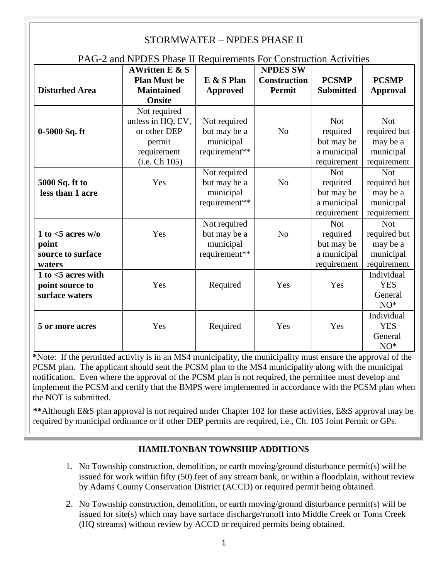#### STORMWATER – NPDES PHASE II PAG-2 and NPDES Phase II Requirements For Construction Activities **Disturbed Area AWritten E & S Plan Must be Maintained Onsite E & S Plan Approved NPDES SW Construction Permit PCSMP Submitted PCSMP Approval 0-5000 Sq. ft**  Not required unless in HQ, EV, or other DEP permit requirement (i.e. Ch 105) Not required but may be a municipal requirement\*\* No Not required but may be a municipal requirement Not required but may be a municipal requirement **5000 Sq. ft to less than 1 acre**  Yes Not required but may be a municipal requirement\*\* No Not required but may be a municipal requirement Not required but may be a municipal requirement **1 to <5 acres w/o point source to surface waters**  Yes Not required but may be a municipal requirement\*\* No Not required but may be a municipal requirement Not required but may be a municipal requirement **1 to <5 acres with point source to surface waters**  Yes Required Yes Yes Individual YES General NO\* **5 or more acres** Yes Required Yes Yes Individual YES General NO\*

**\***Note: If the permitted activity is in an MS4 municipality, the municipality must ensure the approval of the PCSM plan. The applicant should sent the PCSM plan to the MS4 municipality along with the municipal notification. Even where the approval of the PCSM plan is not required, the permittee must develop and implement the PCSM and certify that the BMPS were implemented in accordance with the PCSM plan when the NOT is submitted.

**\*\***Although E&S plan approval is not required under Chapter 102 for these activities, E&S approval may be required by municipal ordinance or if other DEP permits are required, i.e., Ch. 105 Joint Permit or GPs.

# **HAMILTONBAN TOWNSHIP ADDITIONS**

- 1. No Township construction, demolition, or earth moving/ground disturbance permit(s) will be issued for work within fifty (50) feet of any stream bank, or within a floodplain, without review by Adams County Conservation District (ACCD) or required permit being obtained.
- 2. No Township construction, demolition, or earth moving/ground disturbance permit(s) will be issued for site(s) which may have surface discharge/runoff into Middle Creek or Toms Creek (HQ streams) without review by ACCD or required permits being obtained.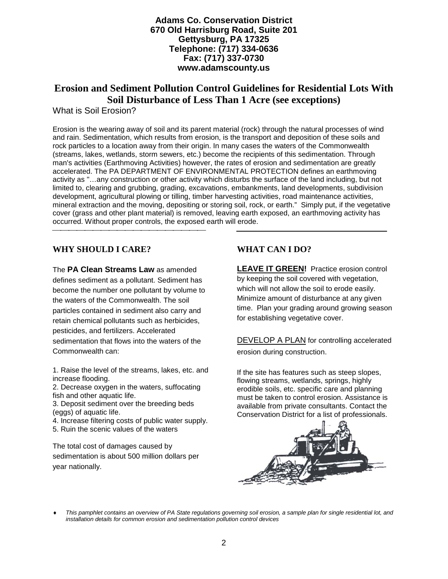**Adams Co. Conservation District 670 Old Harrisburg Road, Suite 201 Gettysburg, PA 17325 Telephone: (717) 334-0636 Fax: (717) 337-0730 www.adamscounty.us**

# **Erosion and Sediment Pollution Control Guidelines for Residential Lots With Soil Disturbance of Less Than 1 Acre (see exceptions)**

What is Soil Erosion?

Erosion is the wearing away of soil and its parent material (rock) through the natural processes of wind and rain. Sedimentation, which results from erosion, is the transport and deposition of these soils and rock particles to a location away from their origin. In many cases the waters of the Commonwealth (streams, lakes, wetlands, storm sewers, etc.) become the recipients of this sedimentation. Through man's activities (Earthmoving Activities) however, the rates of erosion and sedimentation are greatly accelerated. The PA DEPARTMENT OF ENVIRONMENTAL PROTECTION defines an earthmoving activity as "…any construction or other activity which disturbs the surface of the land including, but not limited to, clearing and grubbing, grading, excavations, embankments, land developments, subdivision development, agricultural plowing or tilling, timber harvesting activities, road maintenance activities, mineral extraction and the moving, depositing or storing soil, rock, or earth." Simply put, if the vegetative cover (grass and other plant material) is removed, leaving earth exposed, an earthmoving activity has occurred. Without proper controls, the exposed earth will erode. 

## **WHY SHOULD I CARE?**

The **PA Clean Streams Law** as amended defines sediment as a pollutant. Sediment has become the number one pollutant by volume to the waters of the Commonwealth. The soil particles contained in sediment also carry and retain chemical pollutants such as herbicides, pesticides, and fertilizers. Accelerated sedimentation that flows into the waters of the Commonwealth can:

1. Raise the level of the streams, lakes, etc. and increase flooding.

2. Decrease oxygen in the waters, suffocating fish and other aquatic life.

3. Deposit sediment over the breeding beds (eggs) of aquatic life.

4. Increase filtering costs of public water supply.

5. Ruin the scenic values of the waters

The total cost of damages caused by sedimentation is about 500 million dollars per year nationally.

# **WHAT CAN I DO?**

**LEAVE IT GREEN!** Practice erosion control by keeping the soil covered with vegetation, which will not allow the soil to erode easily. Minimize amount of disturbance at any given time. Plan your grading around growing season for establishing vegetative cover.

DEVELOP A PLAN for controlling accelerated erosion during construction.

If the site has features such as steep slopes, flowing streams, wetlands, springs, highly erodible soils, etc. specific care and planning must be taken to control erosion. Assistance is available from private consultants. Contact the Conservation District for a list of professionals.



This pamphlet contains an overview of PA State regulations governing soil erosion, a sample plan for single residential lot, and *installation details for common erosion and sedimentation pollution control devices*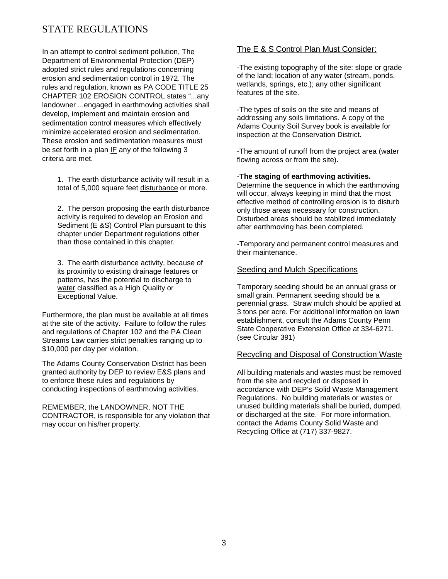# STATE REGULATIONS

In an attempt to control sediment pollution, The Department of Environmental Protection (DEP) adopted strict rules and regulations concerning erosion and sedimentation control in 1972. The rules and regulation, known as PA CODE TITLE 25 CHAPTER 102 EROSION CONTROL states "...any landowner ...engaged in earthmoving activities shall develop, implement and maintain erosion and sedimentation control measures which effectively minimize accelerated erosion and sedimentation. These erosion and sedimentation measures must be set forth in a plan IF any of the following 3 criteria are met.

1. The earth disturbance activity will result in a total of 5,000 square feet disturbance or more.

2. The person proposing the earth disturbance activity is required to develop an Erosion and Sediment (E &S) Control Plan pursuant to this chapter under Department regulations other than those contained in this chapter.

3. The earth disturbance activity, because of its proximity to existing drainage features or patterns, has the potential to discharge to water classified as a High Quality or Exceptional Value.

Furthermore, the plan must be available at all times at the site of the activity. Failure to follow the rules and regulations of Chapter 102 and the PA Clean Streams Law carries strict penalties ranging up to \$10,000 per day per violation.

The Adams County Conservation District has been granted authority by DEP to review E&S plans and to enforce these rules and regulations by conducting inspections of earthmoving activities.

REMEMBER, the LANDOWNER, NOT THE CONTRACTOR, is responsible for any violation that may occur on his/her property.

### The E & S Control Plan Must Consider:

-The existing topography of the site: slope or grade of the land; location of any water (stream, ponds, wetlands, springs, etc.); any other significant features of the site.

-The types of soils on the site and means of addressing any soils limitations. A copy of the Adams County Soil Survey book is available for inspection at the Conservation District.

-The amount of runoff from the project area (water flowing across or from the site).

-**The staging of earthmoving activities.**

Determine the sequence in which the earthmoving will occur, always keeping in mind that the most effective method of controlling erosion is to disturb only those areas necessary for construction. Disturbed areas should be stabilized immediately after earthmoving has been completed.

-Temporary and permanent control measures and their maintenance.

### Seeding and Mulch Specifications

Temporary seeding should be an annual grass or small grain. Permanent seeding should be a perennial grass. Straw mulch should be applied at 3 tons per acre. For additional information on lawn establishment, consult the Adams County Penn State Cooperative Extension Office at 334-6271. (see Circular 391)

### Recycling and Disposal of Construction Waste

All building materials and wastes must be removed from the site and recycled or disposed in accordance with DEP's Solid Waste Management Regulations. No building materials or wastes or unused building materials shall be buried, dumped, or discharged at the site. For more information, contact the Adams County Solid Waste and Recycling Office at (717) 337-9827.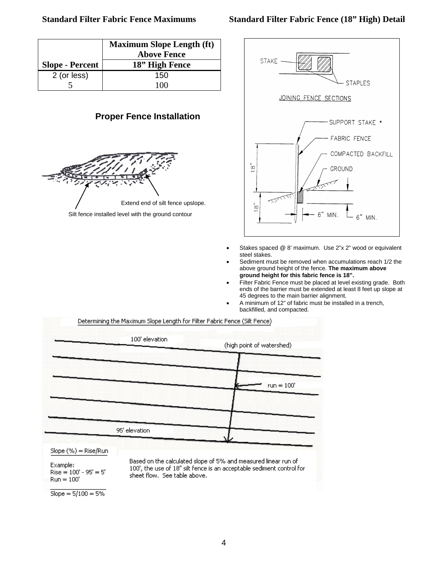|                        | <b>Maximum Slope Length (ft)</b><br><b>Above Fence</b> |
|------------------------|--------------------------------------------------------|
| <b>Slope - Percent</b> | 18" High Fence                                         |
| 2 (or less)            | 150                                                    |
|                        | 1 ( ) ( )                                              |

### **Proper Fence Installation**



Silt fence installed level with the ground contour



- Stakes spaced @ 8' maximum. Use 2"x 2" wood or equivalent steel stakes.
- Sediment must be removed when accumulations reach 1/2 the above ground height of the fence. **The maximum above ground height for this fabric fence is 18".**
- Filter Fabric Fence must be placed at level existing grade. Both ends of the barrier must be extended at least 8 feet up slope at 45 degrees to the main barrier alignment.
- A minimum of 12" of fabric must be installed in a trench, backfilled, and compacted.

Determining the Maximum Slope Length for Filter Fabric Fence (Silt Fence) 100' elevation (high point of watershed)  $run = 100'$ 95' elevation

Slope (%) = Rise/Run

Example:  $Rise = 100' - 95' = 5'$  $Run = 100'$ 

Based on the calculated slope of 5% and measured linear run of 100', the use of 18" silt fence is an acceptable sediment control for sheet flow. See table above.

 $Slope = 5/100 = 5%$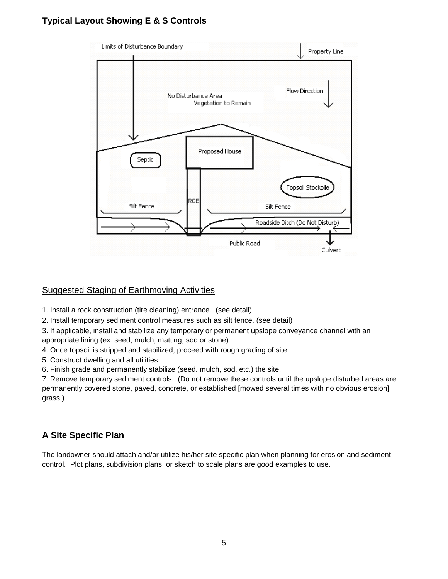# **Typical Layout Showing E & S Controls**



# Suggested Staging of Earthmoving Activities

1. Install a rock construction (tire cleaning) entrance. (see detail)

2. Install temporary sediment control measures such as silt fence. (see detail)

3. If applicable, install and stabilize any temporary or permanent upslope conveyance channel with an appropriate lining (ex. seed, mulch, matting, sod or stone).

4. Once topsoil is stripped and stabilized, proceed with rough grading of site.

5. Construct dwelling and all utilities.

6. Finish grade and permanently stabilize (seed. mulch, sod, etc.) the site.

7. Remove temporary sediment controls. (Do not remove these controls until the upslope disturbed areas are permanently covered stone, paved, concrete, or established [mowed several times with no obvious erosion] grass.)

# **A Site Specific Plan**

The landowner should attach and/or utilize his/her site specific plan when planning for erosion and sediment control. Plot plans, subdivision plans, or sketch to scale plans are good examples to use.